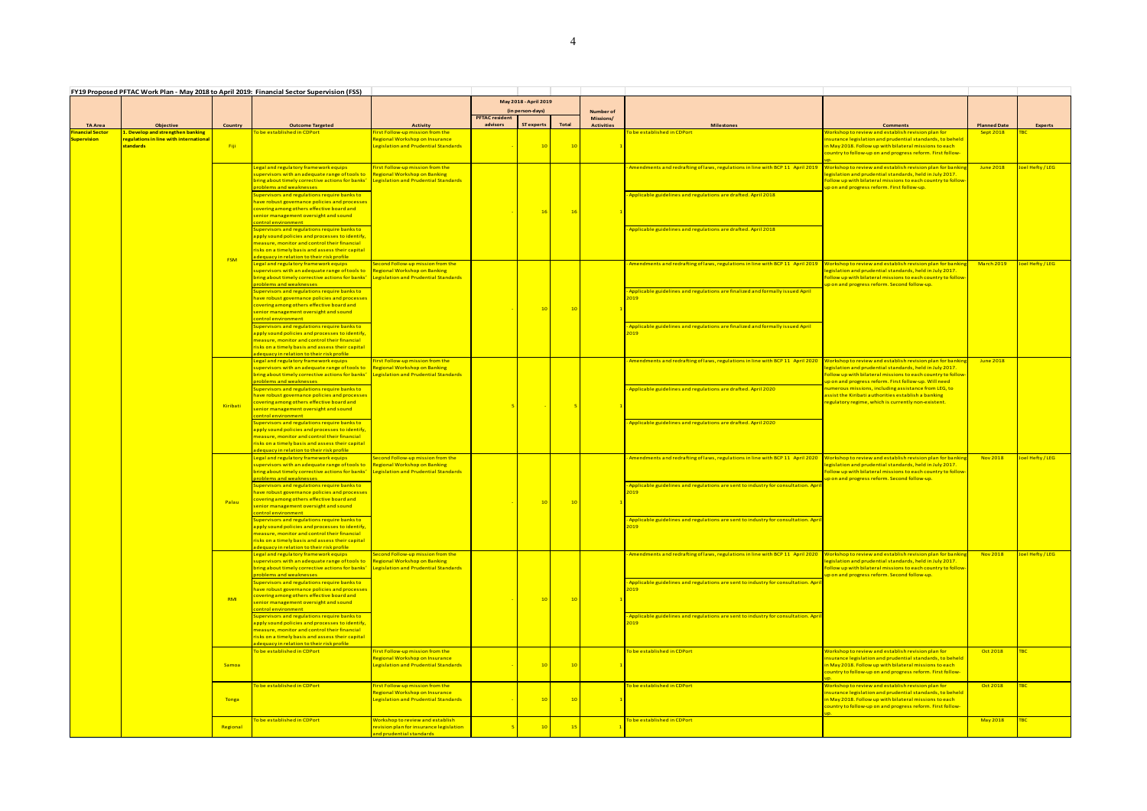| FY19 Proposed PFTAC Work Plan - May 2018 to April 2019: Financial Sector Supervision (FSS) |                                                                                                |             |                                                                                                                                                                                                                                                                                                                                                             |                                                                                                                         |                                                                    |                   |                 |                               |                                                                                                                                                                                                                              |                                                                                                                                                                                                                                                                                                                                                                                                                                                                                                                                                                                                                                                        |                     |                 |
|--------------------------------------------------------------------------------------------|------------------------------------------------------------------------------------------------|-------------|-------------------------------------------------------------------------------------------------------------------------------------------------------------------------------------------------------------------------------------------------------------------------------------------------------------------------------------------------------------|-------------------------------------------------------------------------------------------------------------------------|--------------------------------------------------------------------|-------------------|-----------------|-------------------------------|------------------------------------------------------------------------------------------------------------------------------------------------------------------------------------------------------------------------------|--------------------------------------------------------------------------------------------------------------------------------------------------------------------------------------------------------------------------------------------------------------------------------------------------------------------------------------------------------------------------------------------------------------------------------------------------------------------------------------------------------------------------------------------------------------------------------------------------------------------------------------------------------|---------------------|-----------------|
|                                                                                            |                                                                                                |             |                                                                                                                                                                                                                                                                                                                                                             |                                                                                                                         | May 2018 - April 2019<br>(in person-days)<br><b>PFTAC resident</b> |                   |                 | <b>Number of</b><br>Missions/ |                                                                                                                                                                                                                              |                                                                                                                                                                                                                                                                                                                                                                                                                                                                                                                                                                                                                                                        |                     |                 |
| <b>TA Area</b>                                                                             | <b>Objective</b>                                                                               | Country     | <b>Outcome Targeted</b>                                                                                                                                                                                                                                                                                                                                     | <b>Activity</b>                                                                                                         | advisors                                                           | <b>ST experts</b> | Total           | <b>Activities</b>             | <b>Milestones</b>                                                                                                                                                                                                            | <b>Comments</b>                                                                                                                                                                                                                                                                                                                                                                                                                                                                                                                                                                                                                                        | <b>Planned Date</b> | <b>Experts</b>  |
| <b>Financial Sector</b><br><b>Supervision</b>                                              | . Develop and strengthen banking<br>regulations in line with international<br><b>standards</b> | <b>Fiji</b> | o be established in CDPort                                                                                                                                                                                                                                                                                                                                  | irst Follow-up mission from the<br>Regional Workshop on Insurance<br>egislation and Prudential Standards                |                                                                    | 10 <sub>1</sub>   | 10              |                               | o be established in CDPort                                                                                                                                                                                                   | Vorkshop to review and establish revision plan for<br>nsurance legislation and prudential standards, to beheld<br>n May 2018. Follow up with bilateral missions to each<br>ountry to follow-up on and progress reform. First follow-                                                                                                                                                                                                                                                                                                                                                                                                                   | <b>Sept 2018</b>    | RC.             |
|                                                                                            |                                                                                                | <b>FSM</b>  | egal and regulatory framework equips<br>upervisors with an adequate range of tools to<br>bring about timely corrective actions for banks'<br>roblems and weaknesses                                                                                                                                                                                         | First Follow-up mission from the<br><b>Regional Workshop on Banking</b><br><b>Legislation and Prudential Standards</b>  |                                                                    |                   | 16              |                               | Amendments and redrafting of laws, regulations in line with BCP 11 April 2019                                                                                                                                                | Workshop to review and establish revision plan for banki<br>egislation and prudential standards, held in July 2017.<br>ollow up with bilateral missions to each country to follow<br>up on and progress reform. First follow-up.                                                                                                                                                                                                                                                                                                                                                                                                                       | <b>June 2018</b>    | oel Hefty / LEG |
|                                                                                            |                                                                                                |             | Supervisors and regulations require banks to<br>have robust governance policies and processes<br>overing among others effective board and<br>senior management oversight and sound<br>ontrol environment<br>Supervisors and regulations require banks to<br>apply sound policies and processes to identify,<br>measure, monitor and control their financial |                                                                                                                         |                                                                    | 16                |                 |                               | Applicable guidelines and regulations are drafted. April 2018<br>Applicable guidelines and regulations are drafted. April 2018                                                                                               |                                                                                                                                                                                                                                                                                                                                                                                                                                                                                                                                                                                                                                                        |                     |                 |
|                                                                                            |                                                                                                |             | risks on a timely basis and assess their capital<br>adequacy in relation to their risk profile<br>Legal and regulatory framework equips<br>upervisors with an adequate range of tools to<br>oring about timely corrective actions for banks'                                                                                                                | Second Follow-up mission from the<br><b>Regional Workshop on Banking</b><br><b>Legislation and Prudential Standards</b> |                                                                    | 10                | $\overline{10}$ |                               | Amendments and redrafting of laws, regulations in line with BCP 11 April 2019                                                                                                                                                | Workshop to review and establish revision plan for bankin<br>egislation and prudential standards, held in July 2017.<br>ollow up with bilateral missions to each country to follow<br>ip on and progress reform. Second follow-up.                                                                                                                                                                                                                                                                                                                                                                                                                     | March 2019          | oel Hefty / LEG |
|                                                                                            |                                                                                                |             | roblems and weaknesses<br>upervisors and regulations require banks to<br>have robust governance policies and processes<br>covering among others effective board and<br>senior management oversight and sound                                                                                                                                                |                                                                                                                         |                                                                    |                   |                 |                               | Applicable guidelines and regulations are finalized and formally issued April<br>2019                                                                                                                                        |                                                                                                                                                                                                                                                                                                                                                                                                                                                                                                                                                                                                                                                        |                     |                 |
|                                                                                            |                                                                                                |             | control environment<br>upervisors and regulations require banks to<br>apply sound policies and processes to identify,<br>measure, monitor and control their financial<br>risks on a timely basis and assess their capital<br>dequacy in relation to their risk profile                                                                                      |                                                                                                                         |                                                                    |                   |                 |                               | Applicable guidelines and regulations are finalized and formally issued April<br>2019                                                                                                                                        |                                                                                                                                                                                                                                                                                                                                                                                                                                                                                                                                                                                                                                                        |                     |                 |
|                                                                                            |                                                                                                | Kiribati    | egal and regulatory framework equips<br>upervisors with an adequate range of tools to<br>bring about timely corrective actions for banks'<br>roblems and weaknesses<br>Supervisors and regulations require banks to                                                                                                                                         | First Follow-up mission from the<br>Regional Workshop on Banking<br>Legislation and Prudential Standards                |                                                                    |                   |                 |                               | Amendments and redrafting of laws, regulations in line with BCP 11 April 2020<br>Applicable guidelines and regulations are drafted. April 2020                                                                               | Workshop to review and establish revision plan for bankin<br>egislation and prudential standards, held in July 2017.<br>ollow up with bilateral missions to each country to folloy'<br>ip on and progress reform. First follow-up. Will need<br>umerous missions, including assistance from LEG, to<br>assist the Kiribati authorities establish a banking<br>egulatory regime, which is currently non-existent.<br>Workshop to review and establish revision plan for bankir<br>egislation and prudential standards, held in July 2017.<br>ollow up with bilateral missions to each country to follov-<br>p on and progress reform. Second follow-up. | <b>June 2018</b>    |                 |
|                                                                                            |                                                                                                |             | have robust governance policies and processes<br>overing among others effective board and<br>senior management oversight and sound<br>ontrol environment<br>Supervisors and regulations require banks to                                                                                                                                                    |                                                                                                                         |                                                                    |                   |                 |                               | Applicable guidelines and regulations are drafted. April 2020                                                                                                                                                                |                                                                                                                                                                                                                                                                                                                                                                                                                                                                                                                                                                                                                                                        |                     |                 |
|                                                                                            |                                                                                                |             | apply sound policies and processes to identify,<br>measure, monitor and control their financial<br>risks on a timely basis and assess their capital<br>adequacy in relation to their risk profile                                                                                                                                                           |                                                                                                                         |                                                                    |                   |                 |                               |                                                                                                                                                                                                                              |                                                                                                                                                                                                                                                                                                                                                                                                                                                                                                                                                                                                                                                        |                     |                 |
|                                                                                            |                                                                                                | Palau       | Legal and regulatory framework equips<br>upervisors with an adequate range of tools to<br>oring about timely corrective actions for banks'<br>roblems and weaknesses<br>upervisors and regulations require banks to                                                                                                                                         | Second Follow-up mission from the<br><b>Regional Workshop on Banking</b><br>Legislation and Prudential Standards        |                                                                    | 10 <sup>°</sup>   | $^{\circ}10$    |                               | Amendments and redrafting of laws, regulations in line with BCP 11 April 2020<br>Applicable guidelines and regulations are sent to industry for consultation. Apr                                                            |                                                                                                                                                                                                                                                                                                                                                                                                                                                                                                                                                                                                                                                        | Nov 2018            | oel Hefty / LEG |
|                                                                                            |                                                                                                |             | have robust governance policies and processes<br>overing among others effective board and<br>senior management oversight and sound<br>ontrol environment                                                                                                                                                                                                    |                                                                                                                         |                                                                    |                   |                 |                               | 2019                                                                                                                                                                                                                         |                                                                                                                                                                                                                                                                                                                                                                                                                                                                                                                                                                                                                                                        |                     |                 |
|                                                                                            |                                                                                                |             | upervisors and regulations require banks to<br>apply sound policies and processes to identify,<br>measure, monitor and control their financial<br>risks on a timely basis and assess their capital<br>dequacy in relation to their risk profile                                                                                                             |                                                                                                                         |                                                                    |                   |                 |                               | Applicable guidelines and regulations are sent to industry for consultation. Apri<br>2019                                                                                                                                    |                                                                                                                                                                                                                                                                                                                                                                                                                                                                                                                                                                                                                                                        |                     |                 |
|                                                                                            |                                                                                                | RMI         | Legal and regulatory framework equips<br>supervisors with an adequate range of tools to<br>bring about timely corrective actions for banks'<br>roblems and weaknesses<br>Supervisors and regulations require banks to                                                                                                                                       | Second Follow-up mission from the<br>Regional Workshop on Banking<br><b>Legislation and Prudential Standards</b>        |                                                                    | 10 <sub>1</sub>   | $_{10}$         |                               | Amendments and redrafting of laws, regulations in line with BCP 11 April 2020 Workshop to review and establish revision plan for bankin<br>Applicable guidelines and regulations are sent to industry for consultation. Apri | egislation and prudential standards, held in July 2017.<br>Follow up with bilateral missions to each country to follow<br>ip on and progress reform. Second follow-up.                                                                                                                                                                                                                                                                                                                                                                                                                                                                                 | <b>Nov 2018</b>     | oel Hefty / LEG |
|                                                                                            |                                                                                                |             | have robust governance policies and processes<br>covering among others effective board and<br>senior management oversight and sound<br>ontrol environment<br>Supervisors and regulations require banks to                                                                                                                                                   |                                                                                                                         |                                                                    |                   |                 |                               | 2019<br>Applicable guidelines and regulations are sent to industry for consultation. April                                                                                                                                   |                                                                                                                                                                                                                                                                                                                                                                                                                                                                                                                                                                                                                                                        |                     |                 |
|                                                                                            |                                                                                                |             | apply sound policies and processes to identify,<br>measure, monitor and control their financial<br>risks on a timely basis and assess their capital<br>dequacy in relation to their risk profile                                                                                                                                                            |                                                                                                                         |                                                                    |                   |                 |                               | 2019                                                                                                                                                                                                                         |                                                                                                                                                                                                                                                                                                                                                                                                                                                                                                                                                                                                                                                        |                     |                 |
|                                                                                            |                                                                                                | Samoa       | To be established in CDPort                                                                                                                                                                                                                                                                                                                                 | First Follow-up mission from the<br>Regional Workshop on Insurance<br>Legislation and Prudential Standards              |                                                                    | 10 <sub>1</sub>   | $\overline{1}$  |                               | To be established in CDPort                                                                                                                                                                                                  | Workshop to review and establish revision plan for<br>nsurance legislation and prudential standards, to beheld<br>n May 2018. Follow up with bilateral missions to each<br>ountry to follow-up on and progress reform. First follow-                                                                                                                                                                                                                                                                                                                                                                                                                   | Oct 2018            | <b>FBC</b>      |
|                                                                                            |                                                                                                | Tonga       | To be established in CDPort                                                                                                                                                                                                                                                                                                                                 | First Follow-up mission from the<br>Regional Workshop on Insurance<br>Legislation and Prudential Standards              |                                                                    | 10 <sub>1</sub>   | $\overline{1}$  |                               | To be established in CDPort                                                                                                                                                                                                  | Norkshop to review and establish revision plan for<br>nsurance legislation and prudential standards, to beheld<br>n May 2018. Follow up with bilateral missions to each<br>ountry to follow-up on and progress reform. First follow-                                                                                                                                                                                                                                                                                                                                                                                                                   | Oct 2018            | <b>FBC</b>      |
|                                                                                            |                                                                                                | Regional    | o be established in CDPort                                                                                                                                                                                                                                                                                                                                  | Workshop to review and establish<br>revision plan for insurance legislation<br>and prudential standards                 |                                                                    | 10                |                 |                               | To be established in CDPort                                                                                                                                                                                                  |                                                                                                                                                                                                                                                                                                                                                                                                                                                                                                                                                                                                                                                        | May 2018            | <b>FBC</b>      |